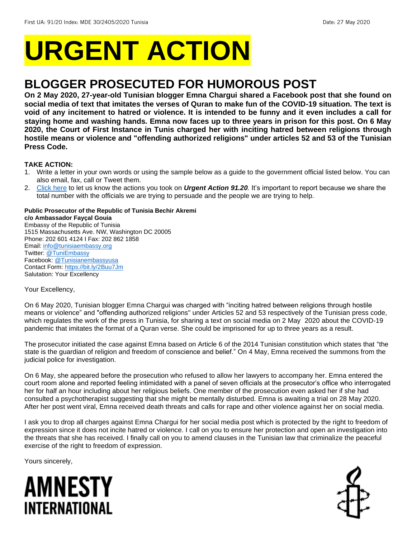# **URGENT ACTION**

## **BLOGGER PROSECUTED FOR HUMOROUS POST**

**On 2 May 2020, 27-year-old Tunisian blogger Emna Chargui shared a Facebook post that she found on social media of text that imitates the verses of Quran to make fun of the COVID-19 situation. The text is void of any incitement to hatred or violence. It is intended to be funny and it even includes a call for staying home and washing hands. Emna now faces up to three years in prison for this post. On 6 May 2020, the Court of First Instance in Tunis charged her with inciting hatred between religions through hostile means or violence and "offending authorized religions" under articles 52 and 53 of the Tunisian Press Code.** 

## **TAKE ACTION:**

- 1. Write a letter in your own words or using the sample below as a guide to the government official listed below. You can also email, fax, call or Tweet them.
- 2. [Click here](https://www.amnestyusa.org/report-urgent-actions/) to let us know the actions you took on *Urgent Action 91.20.* It's important to report because we share the total number with the officials we are trying to persuade and the people we are trying to help.

## **Public Prosecutor of the Republic of Tunisia Bechir Akremi**

**c/o Ambassador Fayçal Gouia** Embassy of the Republic of Tunisia 1515 Massachusetts Ave. NW, Washington DC 20005 Phone: 202 601 4124 I Fax: 202 862 1858 Email[: info@tunisiaembassy.org](mailto:info@tunisiaembassy.org) Twitter: [@TuniEmbassy](https://twitter.com/tuniembassy?lang=en) Facebook[: @Tunisianembassyusa](https://www.facebook.com/TUNISIANEMBASSYUSA/) Contact Form[: https://bit.ly/2Buu7Jm](https://bit.ly/2Buu7Jm) Salutation: Your Excellency

Your Excellency,

On 6 May 2020, Tunisian blogger Emna Chargui was charged with "inciting hatred between religions through hostile means or violence" and "offending authorized religions" under Articles 52 and 53 respectively of the Tunisian press code, which regulates the work of the press in Tunisia, for sharing a text on social media on 2 May 2020 about the COVID-19 pandemic that imitates the format of a Quran verse. She could be imprisoned for up to three years as a result.

The prosecutor initiated the case against Emna based on Article 6 of the 2014 Tunisian constitution which states that "the state is the guardian of religion and freedom of conscience and belief." On 4 May, Emna received the summons from the judicial police for investigation.

On 6 May, she appeared before the prosecution who refused to allow her lawyers to accompany her. Emna entered the court room alone and reported feeling intimidated with a panel of seven officials at the prosecutor's office who interrogated her for half an hour including about her religious beliefs. One member of the prosecution even asked her if she had consulted a psychotherapist suggesting that she might be mentally disturbed. Emna is awaiting a trial on 28 May 2020. After her post went viral, Emna received death threats and calls for rape and other violence against her on social media.

I ask you to drop all charges against Emna Chargui for her social media post which is protected by the right to freedom of expression since it does not incite hatred or violence. I call on you to ensure her protection and open an investigation into the threats that she has received. I finally call on you to amend clauses in the Tunisian law that criminalize the peaceful exercise of the right to freedom of expression.

Yours sincerely,